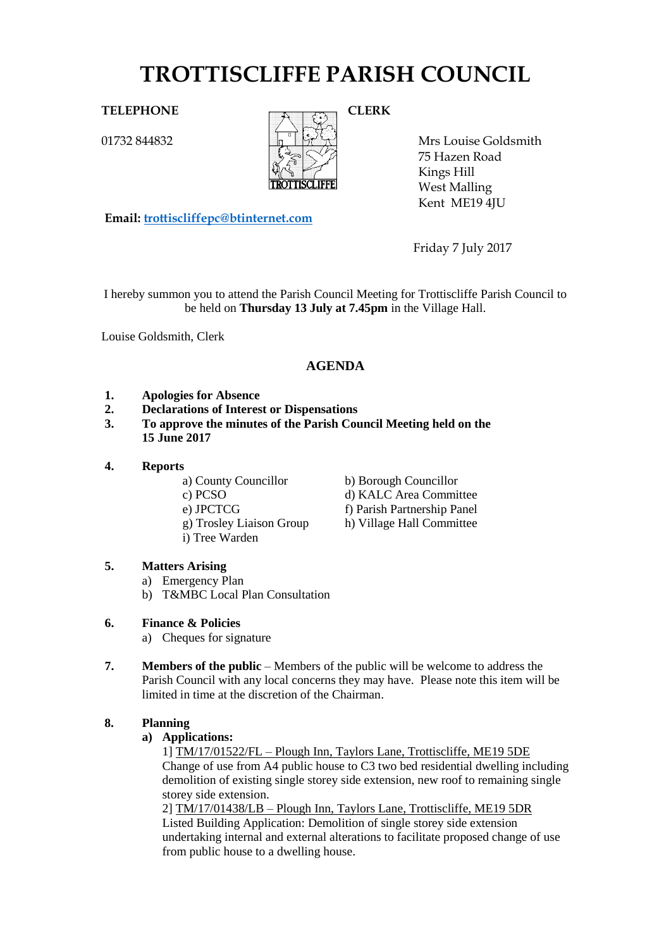# **TROTTISCLIFFE PARISH COUNCIL**

01732 844832



Mrs Louise Goldsmith 75 Hazen Road Kings Hill West Malling Kent ME19 4JU

**Email: [trottiscliffepc@btinternet.com](mailto:trottiscliffepc@btinternet.com)**

Friday 7 July 2017

I hereby summon you to attend the Parish Council Meeting for Trottiscliffe Parish Council to be held on **Thursday 13 July at 7.45pm** in the Village Hall.

Louise Goldsmith, Clerk

# **AGENDA**

- **1. Apologies for Absence**
- **2. Declarations of Interest or Dispensations**
- **3. To approve the minutes of the Parish Council Meeting held on the 15 June 2017**
- **4. Reports**
	-
	-
	-
	-
	- i) Tree Warden
	- a) County Councillor b) Borough Councillor
	- c) PCSO d) KALC Area Committee
	- e) JPCTCG f) Parish Partnership Panel
	- g) Trosley Liaison Group h) Village Hall Committee

# **5. Matters Arising**

- a) Emergency Plan
- b) T&MBC Local Plan Consultation
- **6. Finance & Policies**
	- a) Cheques for signature
- **7. Members of the public** Members of the public will be welcome to address the Parish Council with any local concerns they may have. Please note this item will be limited in time at the discretion of the Chairman.

# **8. Planning**

# **a) Applications:**

1] TM/17/01522/FL – Plough Inn, Taylors Lane, Trottiscliffe, ME19 5DE Change of use from A4 public house to C3 two bed residential dwelling including demolition of existing single storey side extension, new roof to remaining single storey side extension.

2] TM/17/01438/LB – Plough Inn, Taylors Lane, Trottiscliffe, ME19 5DR Listed Building Application: Demolition of single storey side extension undertaking internal and external alterations to facilitate proposed change of use from public house to a dwelling house.